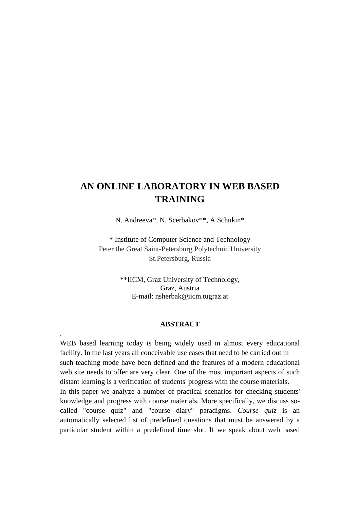# **AN ONLINE LABORATORY IN WEB BASED TRAINING**

N. Andreeva\*, N. Scerbakov\*\*, A.Schukin\*

\* Institute of Computer Science and Technology Peter the Great Saint-Petersburg Polytechnic University St.Petersburg, Russia

> \*\*IICM, Graz University of Technology, Graz, Austria E-mail: nsherbak@iicm.tugraz.at

#### **ABSTRACT**

.

WEB based learning today is being widely used in almost every educational facility. In the last years all conceivable use cases that need to be carried out in such teaching mode have been defined and the features of a modern educational web site needs to offer are very clear. One of the most important aspects of such distant learning is a verification of students' progress with the course materials. In this paper we analyze a number of practical scenarios for checking students' knowledge and progress with course materials. More specifically, we discuss socalled "course quiz" and "course diary" paradigms. *Course quiz* is an automatically selected list of predefined questions that must be answered by a particular student within a predefined time slot. If we speak about web based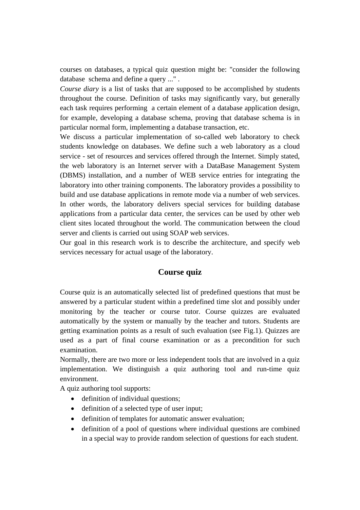courses on databases, a typical quiz question might be: "consider the following database schema and define a query ..." .

*Course diary* is a list of tasks that are supposed to be accomplished by students throughout the course. Definition of tasks may significantly vary, but generally each task requires performing a certain element of a database application design, for example, developing a database schema, proving that database schema is in particular normal form, implementing a database transaction, etc.

We discuss a particular implementation of so-called web laboratory to check students knowledge on databases. We define such a web laboratory as a cloud service - set of resources and services offered through the Internet. Simply stated, the web laboratory is an Internet server with a DataBase Management System (DBMS) installation, and a number of WEB service entries for integrating the laboratory into other training components. The laboratory provides a possibility to build and use database applications in remote mode via a number of web services. In other words, the laboratory delivers special services for building database applications from a particular data center, the services can be used by other web client sites located throughout the world. The communication between the cloud server and clients is carried out using SOAP web services.

Our goal in this research work is to describe the architecture, and specify web services necessary for actual usage of the laboratory.

## **Course quiz**

Course quiz is an automatically selected list of predefined questions that must be answered by a particular student within a predefined time slot and possibly under monitoring by the teacher or course tutor. Course quizzes are evaluated automatically by the system or manually by the teacher and tutors. Students are getting examination points as a result of such evaluation (see Fig.1). Quizzes are used as a part of final course examination or as a precondition for such examination.

Normally, there are two more or less independent tools that are involved in a quiz implementation. We distinguish a quiz authoring tool and run-time quiz environment.

A quiz authoring tool supports:

- definition of individual questions;
- definition of a selected type of user input;
- definition of templates for automatic answer evaluation;
- definition of a pool of questions where individual questions are combined in a special way to provide random selection of questions for each student.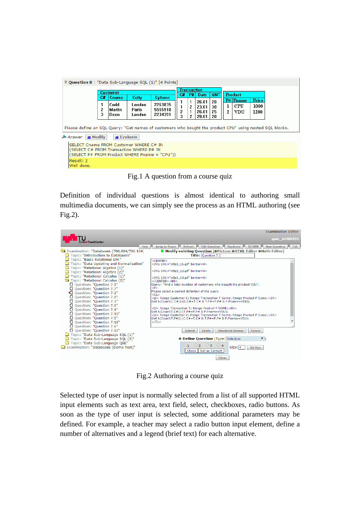| V Question 8 : "Data Sub-Language SQL (1)" [4 Points]                                                                                                      |              |                                 |                                    |                                                |   |                                  |                                  |                      |                   |                               |                       |  |  |
|------------------------------------------------------------------------------------------------------------------------------------------------------------|--------------|---------------------------------|------------------------------------|------------------------------------------------|---|----------------------------------|----------------------------------|----------------------|-------------------|-------------------------------|-----------------------|--|--|
| <b>Customer</b>                                                                                                                                            |              |                                 |                                    |                                                |   | Transaction<br>P#l<br>C#<br>Date |                                  | QNT                  | <b>Product</b>    |                               |                       |  |  |
|                                                                                                                                                            | C#<br>2<br>3 | Cname<br>Codd<br>Martin<br>Deen | Ccity<br>London<br>Paris<br>London | <b>Cohone</b><br>2263035<br>5555910<br>2234391 | 3 | 2<br>2                           | 26.01<br>23.01<br>26.01<br>29.01 | 20<br>30<br>25<br>20 | ı<br>$\mathbf{2}$ | P# Pname<br><b>CPU</b><br>VDU | Price<br>1000<br>1200 |  |  |
| Please define an SQL Query: "Get names of customers who bought the product CPU" using nested SQL blocks.<br>$\equiv$ Modify<br>Answer<br>$\equiv$ Evaluate |              |                                 |                                    |                                                |   |                                  |                                  |                      |                   |                               |                       |  |  |
| SELECT Cname FROM Customer WHERE C# IN<br>(SELECT C# FROM Transaction WHERE P# IN<br>(SELECT P# FROM Product WHERE Pname = "CPU"))                         |              |                                 |                                    |                                                |   |                                  |                                  |                      |                   |                               |                       |  |  |
| Result: 2<br>Well done.                                                                                                                                    |              |                                 |                                    |                                                |   |                                  |                                  |                      |                   |                               |                       |  |  |

Fig.1 A question from a course quiz

Definition of individual questions is almost identical to authoring small multimedia documents, we can simply see the process as an HTML authoring (see Fig.2).

|                                                                                                                                                                                                                                                                                                                                                                                                                                                                                                                                                                                                                                                                                                                                                                                                                                  | <b>Examination Editor</b>                                                                                                                                                                                                                                                                                                                                                                                                                                                                                                                                                                                                                                                                                                                                                                                                                                                                                                                                                                                                                                                                                                                                                                                                                                                                                                                                                                                                                                                                                                                                                                               |
|----------------------------------------------------------------------------------------------------------------------------------------------------------------------------------------------------------------------------------------------------------------------------------------------------------------------------------------------------------------------------------------------------------------------------------------------------------------------------------------------------------------------------------------------------------------------------------------------------------------------------------------------------------------------------------------------------------------------------------------------------------------------------------------------------------------------------------|---------------------------------------------------------------------------------------------------------------------------------------------------------------------------------------------------------------------------------------------------------------------------------------------------------------------------------------------------------------------------------------------------------------------------------------------------------------------------------------------------------------------------------------------------------------------------------------------------------------------------------------------------------------------------------------------------------------------------------------------------------------------------------------------------------------------------------------------------------------------------------------------------------------------------------------------------------------------------------------------------------------------------------------------------------------------------------------------------------------------------------------------------------------------------------------------------------------------------------------------------------------------------------------------------------------------------------------------------------------------------------------------------------------------------------------------------------------------------------------------------------------------------------------------------------------------------------------------------------|
| Graz - Teach Center                                                                                                                                                                                                                                                                                                                                                                                                                                                                                                                                                                                                                                                                                                                                                                                                              | quiz lv506255                                                                                                                                                                                                                                                                                                                                                                                                                                                                                                                                                                                                                                                                                                                                                                                                                                                                                                                                                                                                                                                                                                                                                                                                                                                                                                                                                                                                                                                                                                                                                                                           |
| Examination: "Databases (706.004/706.104)<br>Topic: "Introduction to Databases"<br>Topic: "Basic Relational DM "<br>Topic: "Data Updating and Normalization"<br>Topic: "Relational Algebra (1)"<br>Topic: "Relational Algebra (2)"<br>Topic: "Relational Calculus (1)"<br>Topic: "Relational Calculus (2)"<br>□ Ouestion: "Ouestion 7.1"<br>□ Ouestion: "Ouestion 7.7"<br>Cuestion: "Question 7.2"<br>□ Ouestion: "Ouestion 7.8"<br>Ouestion: "Ouestion 7.3"<br>Question: "Question 7.9"<br>₾<br>Ouestion: "Ouestion 7.4"<br>Question: "Question 7.10"<br>Question: "Question 7.5"<br>Ouestion: "Ouestion 7.11"<br>Question: "Question 7.6"<br>□ Ouestion: "Question 7.12"<br>Topic: "Data Sub-Language SQL (1)"<br>Topic: "Data Sub-Language SQL (2)"<br>Topic: "Data Sub-Language QBE"<br>Examination: "Databases (Demo Test)" | <b>Jump to Room</b><br>Refresh<br><b>Edit Question</b><br><b>SCORM</b><br><b>New Question</b><br><b>Help</b><br><b>Duplicate</b><br>Cut<br>$\bullet$ Modify existing Question [ $\Rightarrow$ Picture $\Rightarrow$ HTML Editor $\Rightarrow$ Math Editor]<br>Title: Question 7.2<br>$<$ CENTER $>$<br><img border="0" src="rdlq5 01.gif"/><br><img border="0" src="rdlq5_02.gif"/><br><img border="0" src="rdlq5_03.gif"/><br>$<$ /CENTER ><br><br>Query: "Find a total number of customers who bought the product VDU".<br>< P ><br>Please select a correct definition of the query<br>$<$ OL $>$<br><li> Range Customer C; Range Transaction T Some; Range Product P Some;<br/><br/>Get A(Count(C.C#)):(C.C#=T.C# &amp; T.P#=P.P# &amp; P.Pname=VDU);<br/><li> Range Transaction T; Range Product P SOME;<br/><br/>Get A(Count(T.C#)):(T.P#=P.P# &amp; P.Pname=VDU);<br/><li> Range Customer C; Range Transaction T Some; Range Product P Some;<br/><br/><math>\textsf{Get A}(\textsf{Count}(\mathsf{T},\mathsf{P}\#))</math>:<math>(\textsf{C},\textsf{C}\# \textsf{=}\mathsf{T},\textsf{C}\# \textsf{R},\mathsf{T},\mathsf{P}\# \textsf{=}\mathsf{P},\mathsf{P}\# \textsf{R},\mathsf{P}.\mathsf{P}</math>name<math>\textsf{=}\mathsf{VDU})</math>:<br/><math>&lt;</math>/OL&gt;<br/><b>Delete</b><br/><b>Structured Answer</b><br/><b>Submit</b><br/>Cancel<br/><b>→ Define Question</b> (Type: Selection<br/><math>\odot</math>3 <math>\odot</math>4<br/><math>\circ</math> 1<br/><math>\circ</math><br/>Size: 4<br/><b>Set Size</b><br/>Set as Correct<br/>Check<br/><b>Close</b></li></li></li> |

Fig.2 Authoring a course quiz

Selected type of user input is normally selected from a list of all supported HTML input elements such as text area, text field, select, checkboxes, radio buttons. As soon as the type of user input is selected, some additional parameters may be defined. For example, a teacher may select a radio button input element, define a number of alternatives and a legend (brief text) for each alternative.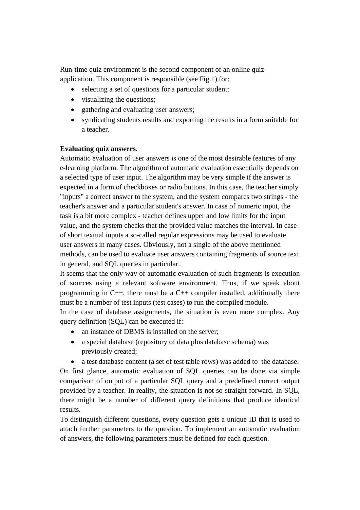Run-time quiz environment is the second component of an online quiz application. This component is responsible (see Fig.1) for:

- selecting a set of questions for a particular student;
- visualizing the questions;
- gathering and evaluating user answers;
- syndicating students results and exporting the results in a form suitable for a teacher.

### **Evaluating quiz answers**.

Automatic evaluation of user answers is one of the most desirable features of any e-learning platform. The algorithm of automatic evaluation essentially depends on a selected type of user input. The algorithm may be very simple if the answer is expected in a form of checkboxes or radio buttons. In this case, the teacher simply "inputs" a correct answer to the system, and the system compares two strings - the teacher's answer and a particular student's answer. In case of numeric input, the task is a bit more complex - teacher defines upper and low limits for the input value, and the system checks that the provided value matches the interval. In case of short textual inputs a so-called regular expressions may be used to evaluate user answers in many cases. Obviously, not a single of the above mentioned methods, can be used to evaluate user answers containing fragments of source text in general, and SQL queries in particular.

It seems that the only way of automatic evaluation of such fragments is execution of sources using a relevant software environment. Thus, if we speak about programming in  $C_{++}$ , there must be a  $C_{++}$  compiler installed, additionally there must be a number of test inputs (test cases) to run the compiled module.

In the case of database assignments, the situation is even more complex. Any query definition (SQL) can be executed if:

- an instance of DBMS is installed on the server;
- a special database (repository of data plus database schema) was previously created;
- a test database content (a set of test table rows) was added to the database.

On first glance, automatic evaluation of SQL queries can be done via simple comparison of output of a particular SQL query and a predefined correct output provided by a teacher. In reality, the situation is not so straight forward. In SQL, there might be a number of different query definitions that produce identical results.

To distinguish different questions, every question gets a unique ID that is used to attach further parameters to the question. To implement an automatic evaluation of answers, the following parameters must be defined for each question.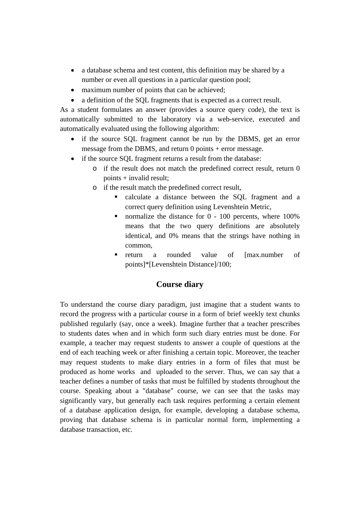- a database schema and test content, this definition may be shared by a number or even all questions in a particular question pool;
- maximum number of points that can be achieved;
- a definition of the SQL fragments that is expected as a correct result.

As a student formulates an answer (provides a source query code), the text is automatically submitted to the laboratory via a web-service, executed and automatically evaluated using the following algorithm:

- if the source SQL fragment cannot be run by the DBMS, get an error message from the DBMS, and return 0 points + error message.
- if the source SQL fragment returns a result from the database:
	- o if the result does not match the predefined correct result, return 0 points + invalid result;
	- o if the result match the predefined correct result,
		- calculate a distance between the SQL fragment and a correct query definition using Levenshtein Metric,
		- normalize the distance for  $0 100$  percents, where  $100\%$ means that the two query definitions are absolutely identical, and 0% means that the strings have nothing in common,
		- return a rounded value of [max.number of points]\*[Levenshtein Distance]/100;

# **Course diary**

To understand the course diary paradigm, just imagine that a student wants to record the progress with a particular course in a form of brief weekly text chunks published regularly (say, once a week). Imagine further that a teacher prescribes to students dates when and in which form such diary entries must be done. For example, a teacher may request students to answer a couple of questions at the end of each teaching week or after finishing a certain topic. Moreover, the teacher may request students to make diary entries in a form of files that must be produced as home works and uploaded to the server. Thus, we can say that a teacher defines a number of tasks that must be fulfilled by students throughout the course. Speaking about a "database" course, we can see that the tasks may significantly vary, but generally each task requires performing a certain element of a database application design, for example, developing a database schema, proving that database schema is in particular normal form, implementing a database transaction, etc.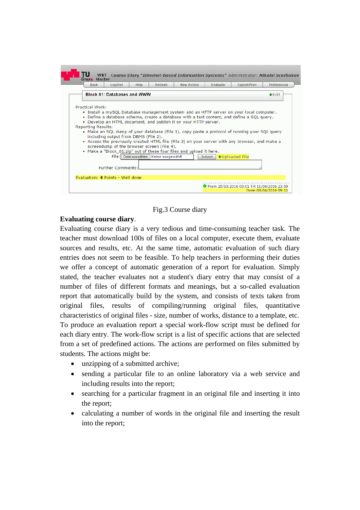

Fig.3 Course diary

### **Evaluating course diary**.

Evaluating course diary is a very tedious and time-consuming teacher task. The teacher must download 100s of files on a local computer, execute them, evaluate sources and results, etc. At the same time, automatic evaluation of such diary entries does not seem to be feasible. To help teachers in performing their duties we offer a concept of automatic generation of a report for evaluation. Simply stated, the teacher evaluates not a student's diary entry that may consist of a number of files of different formats and meanings, but a so-called evaluation report that automatically build by the system, and consists of texts taken from original files, results of compiling/running original files, quantitative characteristics of original files - size, number of works, distance to a template, etc. To produce an evaluation report a special work-flow script must be defined for each diary entry. The work-flow script is a list of specific actions that are selected from a set of predefined actions. The actions are performed on files submitted by students. The actions might be:

- unzipping of a submitted archive;
- sending a particular file to an online laboratory via a web service and including results into the report;
- searching for a particular fragment in an original file and inserting it into the report;
- calculating a number of words in the original file and inserting the result into the report;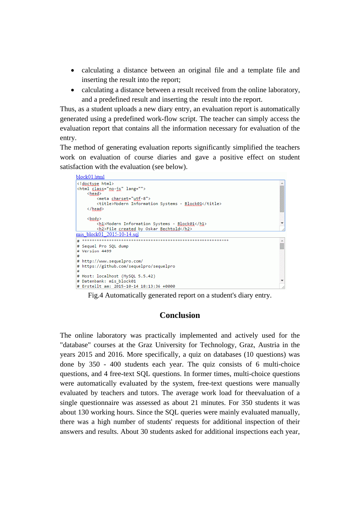- calculating a distance between an original file and a template file and inserting the result into the report;
- calculating a distance between a result received from the online laboratory, and a predefined result and inserting the result into the report.

Thus, as a student uploads a new diary entry, an evaluation report is automatically generated using a predefined work-flow script. The teacher can simply access the evaluation report that contains all the information necessary for evaluation of the entry.

The method of generating evaluation reports significantly simplified the teachers work on evaluation of course diaries and gave a positive effect on student satisfaction with the evaluation (see below).



Fig.4 Automatically generated report on a student's diary entry.

### **Conclusion**

The online laboratory was practically implemented and actively used for the "database" courses at the Graz University for Technology, Graz, Austria in the years 2015 and 2016. More specifically, a quiz on databases (10 questions) was done by 350 - 400 students each year. The quiz consists of 6 multi-choice questions, and 4 free-text SQL questions. In former times, multi-choice questions were automatically evaluated by the system, free-text questions were manually evaluated by teachers and tutors. The average work load for theevaluation of a single questionnaire was assessed as about 21 minutes. For 350 students it was about 130 working hours. Since the SQL queries were mainly evaluated manually, there was a high number of students' requests for additional inspection of their answers and results. About 30 students asked for additional inspections each year,